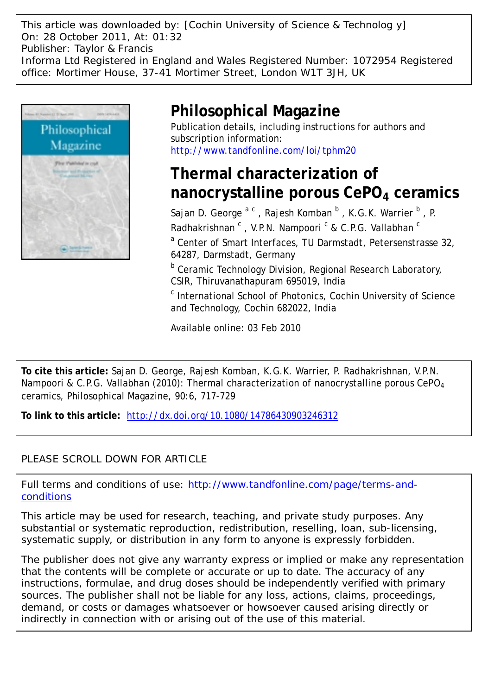This article was downloaded by: [Cochin University of Science & Technolog y] On: 28 October 2011, At: 01:32 Publisher: Taylor & Francis Informa Ltd Registered in England and Wales Registered Number: 1072954 Registered office: Mortimer House, 37-41 Mortimer Street, London W1T 3JH, UK



# **Philosophical Magazine**

Publication details, including instructions for authors and subscription information: <http://www.tandfonline.com/loi/tphm20>

## **Thermal characterization of nanocrystalline porous CePO4 ceramics**

Sajan D. George <sup>a c</sup>, Rajesh Komban <sup>b</sup>, K.G.K. Warrier <sup>b</sup>, P. Radhakrishnan <sup>c</sup>, V.P.N. Nampoori <sup>c</sup> & C.P.G. Vallabhan <sup>c</sup>

<sup>a</sup> Center of Smart Interfaces, TU Darmstadt, Petersenstrasse 32, 64287, Darmstadt, Germany

**b** Ceramic Technology Division, Regional Research Laboratory, CSIR, Thiruvanathapuram 695019, India

<sup>c</sup> International School of Photonics, Cochin University of Science and Technology, Cochin 682022, India

Available online: 03 Feb 2010

**To cite this article:** Sajan D. George, Rajesh Komban, K.G.K. Warrier, P. Radhakrishnan, V.P.N. Nampoori & C.P.G. Vallabhan (2010): Thermal characterization of nanocrystalline porous CePO<sub>4</sub> ceramics, Philosophical Magazine, 90:6, 717-729

**To link to this article:** <http://dx.doi.org/10.1080/14786430903246312>

## PLEASE SCROLL DOWN FOR ARTICLE

Full terms and conditions of use: [http://www.tandfonline.com/page/terms-and](http://www.tandfonline.com/page/terms-and-conditions)[conditions](http://www.tandfonline.com/page/terms-and-conditions)

This article may be used for research, teaching, and private study purposes. Any substantial or systematic reproduction, redistribution, reselling, loan, sub-licensing, systematic supply, or distribution in any form to anyone is expressly forbidden.

The publisher does not give any warranty express or implied or make any representation that the contents will be complete or accurate or up to date. The accuracy of any instructions, formulae, and drug doses should be independently verified with primary sources. The publisher shall not be liable for any loss, actions, claims, proceedings, demand, or costs or damages whatsoever or howsoever caused arising directly or indirectly in connection with or arising out of the use of this material.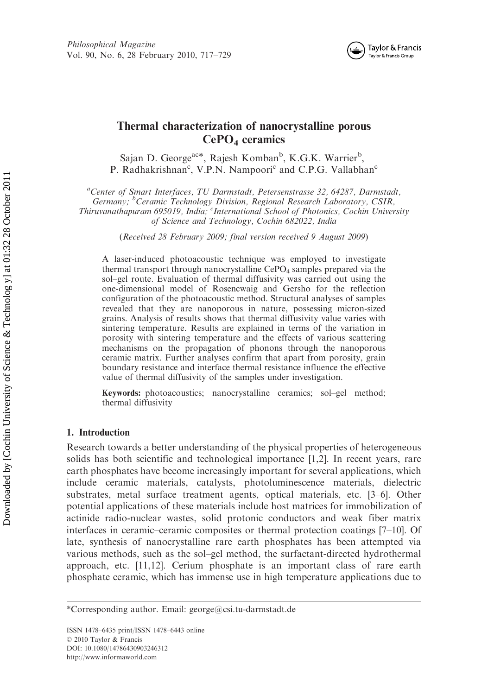

### Thermal characterization of nanocrystalline porous  $CePO<sub>4</sub>$  ceramics

Sajan D. George<sup>ac\*</sup>, Rajesh Komban<sup>b</sup>, K.G.K. Warrier<sup>b</sup>, P. Radhakrishnan<sup>c</sup>, V.P.N. Nampoori<sup>c</sup> and C.P.G. Vallabhan<sup>c</sup>

<sup>a</sup>Center of Smart Interfaces, TU Darmstadt, Petersenstrasse 32, 64287, Darmstadt,

Germany; <sup>b</sup>Ceramic Technology Division, Regional Research Laboratory, CSIR, Thiruvanathapuram 695019, India; <sup>c</sup>International School of Photonics, Cochin University

of Science and Technology, Cochin 682022, India

(Received 28 February 2009; final version received 9 August 2009)

A laser-induced photoacoustic technique was employed to investigate thermal transport through nanocrystalline  $CePO<sub>4</sub>$  samples prepared via the sol–gel route. Evaluation of thermal diffusivity was carried out using the one-dimensional model of Rosencwaig and Gersho for the reflection configuration of the photoacoustic method. Structural analyses of samples revealed that they are nanoporous in nature, possessing micron-sized grains. Analysis of results shows that thermal diffusivity value varies with sintering temperature. Results are explained in terms of the variation in porosity with sintering temperature and the effects of various scattering mechanisms on the propagation of phonons through the nanoporous ceramic matrix. Further analyses confirm that apart from porosity, grain boundary resistance and interface thermal resistance influence the effective value of thermal diffusivity of the samples under investigation.

Keywords: photoacoustics; nanocrystalline ceramics; sol–gel method; thermal diffusivity

### 1. Introduction

Research towards a better understanding of the physical properties of heterogeneous solids has both scientific and technological importance [1,2]. In recent years, rare earth phosphates have become increasingly important for several applications, which include ceramic materials, catalysts, photoluminescence materials, dielectric substrates, metal surface treatment agents, optical materials, etc. [3–6]. Other potential applications of these materials include host matrices for immobilization of actinide radio-nuclear wastes, solid protonic conductors and weak fiber matrix interfaces in ceramic–ceramic composites or thermal protection coatings [7–10]. Of late, synthesis of nanocrystalline rare earth phosphates has been attempted via various methods, such as the sol–gel method, the surfactant-directed hydrothermal approach, etc. [11,12]. Cerium phosphate is an important class of rare earth phosphate ceramic, which has immense use in high temperature applications due to

<sup>\*</sup>Corresponding author. Email: george@csi.tu-darmstadt.de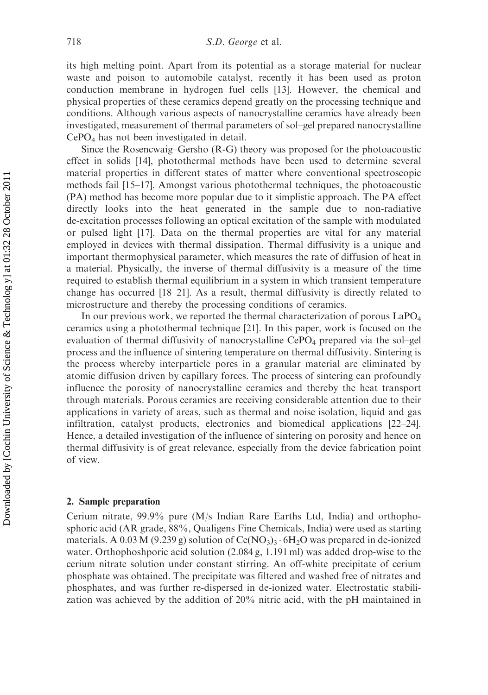its high melting point. Apart from its potential as a storage material for nuclear waste and poison to automobile catalyst, recently it has been used as proton conduction membrane in hydrogen fuel cells [13]. However, the chemical and physical properties of these ceramics depend greatly on the processing technique and conditions. Although various aspects of nanocrystalline ceramics have already been investigated, measurement of thermal parameters of sol–gel prepared nanocrystalline CePO4 has not been investigated in detail.

Since the Rosencwaig–Gersho (R-G) theory was proposed for the photoacoustic effect in solids [14], photothermal methods have been used to determine several material properties in different states of matter where conventional spectroscopic methods fail [15–17]. Amongst various photothermal techniques, the photoacoustic (PA) method has become more popular due to it simplistic approach. The PA effect directly looks into the heat generated in the sample due to non-radiative de-excitation processes following an optical excitation of the sample with modulated or pulsed light [17]. Data on the thermal properties are vital for any material employed in devices with thermal dissipation. Thermal diffusivity is a unique and important thermophysical parameter, which measures the rate of diffusion of heat in a material. Physically, the inverse of thermal diffusivity is a measure of the time required to establish thermal equilibrium in a system in which transient temperature change has occurred [18–21]. As a result, thermal diffusivity is directly related to microstructure and thereby the processing conditions of ceramics.

In our previous work, we reported the thermal characterization of porous  $LaPO<sub>4</sub>$ ceramics using a photothermal technique [21]. In this paper, work is focused on the evaluation of thermal diffusivity of nanocrystalline CePO<sub>4</sub> prepared via the sol-gel process and the influence of sintering temperature on thermal diffusivity. Sintering is the process whereby interparticle pores in a granular material are eliminated by atomic diffusion driven by capillary forces. The process of sintering can profoundly influence the porosity of nanocrystalline ceramics and thereby the heat transport through materials. Porous ceramics are receiving considerable attention due to their applications in variety of areas, such as thermal and noise isolation, liquid and gas infiltration, catalyst products, electronics and biomedical applications [22–24]. Hence, a detailed investigation of the influence of sintering on porosity and hence on thermal diffusivity is of great relevance, especially from the device fabrication point of view.

#### 2. Sample preparation

Cerium nitrate, 99.9% pure (M/s Indian Rare Earths Ltd, India) and orthophosphoric acid (AR grade, 88%, Qualigens Fine Chemicals, India) were used as starting materials. A 0.03 M (9.239 g) solution of Ce(NO<sub>3</sub>)<sub>3</sub>  $\cdot$  6H<sub>2</sub>O was prepared in de-ionized water. Orthophoshporic acid solution (2.084 g, 1.191 ml) was added drop-wise to the cerium nitrate solution under constant stirring. An off-white precipitate of cerium phosphate was obtained. The precipitate was filtered and washed free of nitrates and phosphates, and was further re-dispersed in de-ionized water. Electrostatic stabilization was achieved by the addition of 20% nitric acid, with the pH maintained in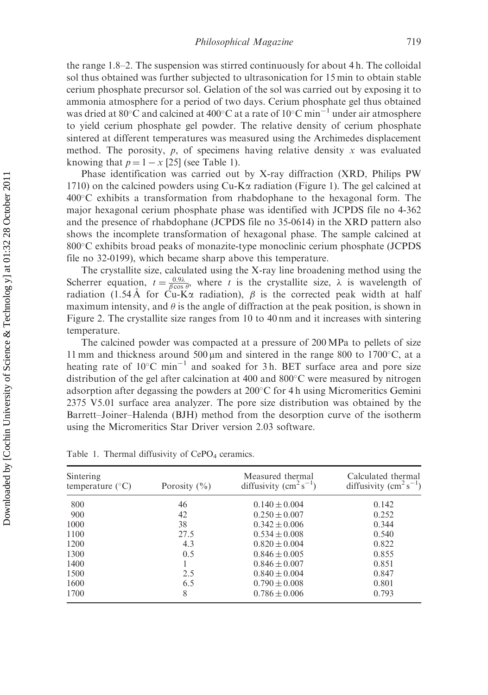the range 1.8–2. The suspension was stirred continuously for about 4 h. The colloidal sol thus obtained was further subjected to ultrasonication for 15 min to obtain stable cerium phosphate precursor sol. Gelation of the sol was carried out by exposing it to ammonia atmosphere for a period of two days. Cerium phosphate gel thus obtained was dried at 80 °C and calcined at 400 °C at a rate of 10 °C min<sup>-1</sup> under air atmosphere to yield cerium phosphate gel powder. The relative density of cerium phosphate sintered at different temperatures was measured using the Archimedes displacement method. The porosity,  $p$ , of specimens having relative density x was evaluated knowing that  $p = 1 - x$  [25] (see Table 1).

Phase identification was carried out by X-ray diffraction (XRD, Philips PW 1710) on the calcined powders using  $Cu-K\alpha$  radiation (Figure 1). The gel calcined at  $400^{\circ}$ C exhibits a transformation from rhabdophane to the hexagonal form. The major hexagonal cerium phosphate phase was identified with JCPDS file no 4-362 and the presence of rhabdophane (JCPDS file no 35-0614) in the XRD pattern also shows the incomplete transformation of hexagonal phase. The sample calcined at 800°C exhibits broad peaks of monazite-type monoclinic cerium phosphate (JCPDS file no 32-0199), which became sharp above this temperature.

The crystallite size, calculated using the X-ray line broadening method using the Scherrer equation,  $t = \frac{0.9\lambda}{\beta \cos \theta}$ , where t is the crystallite size,  $\lambda$  is wavelength of radiation (1.54 Å for Cu-K $\alpha$  radiation),  $\beta$  is the corrected peak width at half maximum intensity, and  $\theta$  is the angle of diffraction at the peak position, is shown in Figure 2. The crystallite size ranges from 10 to 40 nm and it increases with sintering temperature.

The calcined powder was compacted at a pressure of 200 MPa to pellets of size 11 mm and thickness around 500  $\mu$ m and sintered in the range 800 to 1700 $\degree$ C, at a heating rate of  $10^{\circ}$ C min<sup>-1</sup> and soaked for 3h. BET surface area and pore size distribution of the gel after calcination at 400 and  $800^{\circ}$ C were measured by nitrogen adsorption after degassing the powders at  $200^{\circ}$ C for 4 h using Micromeritics Gemini 2375 V5.01 surface area analyzer. The pore size distribution was obtained by the Barrett–Joiner–Halenda (BJH) method from the desorption curve of the isotherm using the Micromeritics Star Driver version 2.03 software.

| Sintering<br>temperature $(^{\circ}C)$ | Porosity $(\% )$ | Measured thermal<br>diffusivity $\rm (cm^2\,s^{-1})$ | Calculated thermal<br>diffusivity $\rm (cm^2\,s^{-1})$ |
|----------------------------------------|------------------|------------------------------------------------------|--------------------------------------------------------|
| 800                                    | 46               | $0.140 \pm 0.004$                                    | 0.142                                                  |
| 900                                    | 42               | $0.250 \pm 0.007$                                    | 0.252                                                  |
| 1000                                   | 38               | $0.342 \pm 0.006$                                    | 0.344                                                  |
| 1100                                   | 27.5             | $0.534 \pm 0.008$                                    | 0.540                                                  |
| 1200                                   | 4.3              | $0.820 \pm 0.004$                                    | 0.822                                                  |
| 1300                                   | 0.5              | $0.846 \pm 0.005$                                    | 0.855                                                  |
| 1400                                   |                  | $0.846 \pm 0.007$                                    | 0.851                                                  |
| 1500                                   | 2.5              | $0.840 \pm 0.004$                                    | 0.847                                                  |
| 1600                                   | 6.5              | $0.790 \pm 0.008$                                    | 0.801                                                  |
| 1700                                   | 8                | $0.786 \pm 0.006$                                    | 0.793                                                  |

Table 1. Thermal diffusivity of  $CePO<sub>4</sub>$  ceramics.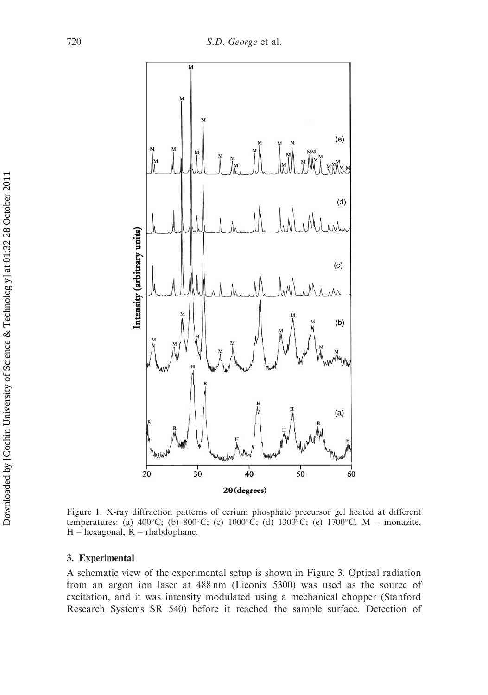

Figure 1. X-ray diffraction patterns of cerium phosphate precursor gel heated at different temperatures: (a)  $400^{\circ}$ C; (b)  $800^{\circ}$ C; (c)  $1000^{\circ}$ C; (d)  $1300^{\circ}$ C; (e)  $1700^{\circ}$ C. M – monazite,  $H$  – hexagonal,  $R$  – rhabdophane.

#### 3. Experimental

A schematic view of the experimental setup is shown in Figure 3. Optical radiation from an argon ion laser at 488 nm (Liconix 5300) was used as the source of excitation, and it was intensity modulated using a mechanical chopper (Stanford Research Systems SR 540) before it reached the sample surface. Detection of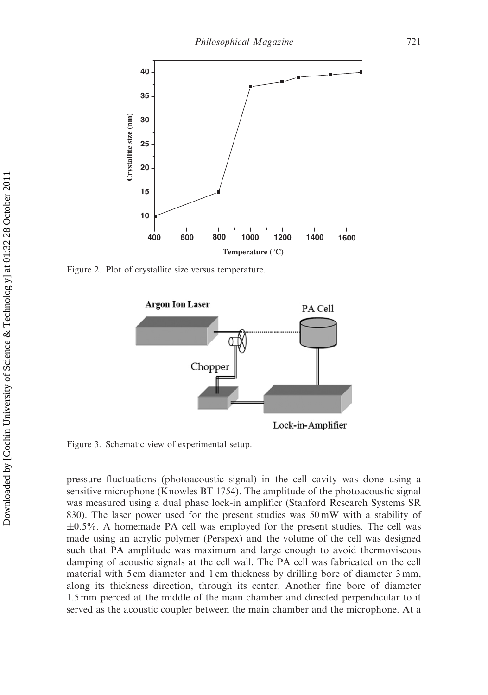

Figure 2. Plot of crystallite size versus temperature.



Lock-in-Amplifier

Figure 3. Schematic view of experimental setup.

pressure fluctuations (photoacoustic signal) in the cell cavity was done using a sensitive microphone (Knowles BT 1754). The amplitude of the photoacoustic signal was measured using a dual phase lock-in amplifier (Stanford Research Systems SR 830). The laser power used for the present studies was 50 mW with a stability of  $\pm 0.5$ %. A homemade PA cell was employed for the present studies. The cell was made using an acrylic polymer (Perspex) and the volume of the cell was designed such that PA amplitude was maximum and large enough to avoid thermoviscous damping of acoustic signals at the cell wall. The PA cell was fabricated on the cell material with 5 cm diameter and 1 cm thickness by drilling bore of diameter 3 mm, along its thickness direction, through its center. Another fine bore of diameter 1.5 mm pierced at the middle of the main chamber and directed perpendicular to it served as the acoustic coupler between the main chamber and the microphone. At a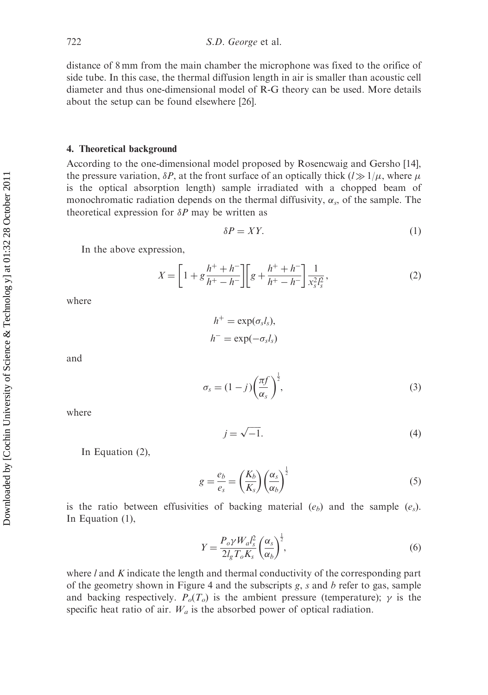distance of 8 mm from the main chamber the microphone was fixed to the orifice of side tube. In this case, the thermal diffusion length in air is smaller than acoustic cell diameter and thus one-dimensional model of R-G theory can be used. More details about the setup can be found elsewhere [26].

#### 4. Theoretical background

According to the one-dimensional model proposed by Rosencwaig and Gersho [14], the pressure variation,  $\delta P$ , at the front surface of an optically thick  $(l \gg 1/\mu$ , where  $\mu$ is the optical absorption length) sample irradiated with a chopped beam of monochromatic radiation depends on the thermal diffusivity,  $\alpha_s$ , of the sample. The theoretical expression for  $\delta P$  may be written as

$$
\delta P = XY.\tag{1}
$$

In the above expression,

$$
X = \left[1 + g\frac{h^+ + h^-}{h^+ - h^-}\right] \left[g + \frac{h^+ + h^-}{h^+ - h^-}\right] \frac{1}{x_s^2 l_s^2},\tag{2}
$$

where

$$
h^+ = \exp(\sigma_s l_s),
$$
  

$$
h^- = \exp(-\sigma_s l_s)
$$

and

$$
\sigma_s = (1-j) \left(\frac{\pi f}{\alpha_s}\right)^{\frac{1}{2}},\tag{3}
$$

where

$$
j = \sqrt{-1}.\tag{4}
$$

In Equation (2),

$$
g = \frac{e_b}{e_s} = \left(\frac{K_b}{K_s}\right) \left(\frac{\alpha_s}{\alpha_b}\right)^{\frac{1}{2}}
$$
(5)

is the ratio between effusivities of backing material  $(e_b)$  and the sample  $(e_s)$ . In Equation (1),

$$
Y = \frac{P_o \gamma W_a l_s^2}{2l_g T_o K_s} \left(\frac{\alpha_s}{\alpha_b}\right)^{\frac{1}{2}},\tag{6}
$$

where  $l$  and  $K$  indicate the length and thermal conductivity of the corresponding part of the geometry shown in Figure 4 and the subscripts  $g$ ,  $s$  and  $b$  refer to gas, sample and backing respectively.  $P_o(T_o)$  is the ambient pressure (temperature);  $\gamma$  is the specific heat ratio of air.  $W_a$  is the absorbed power of optical radiation.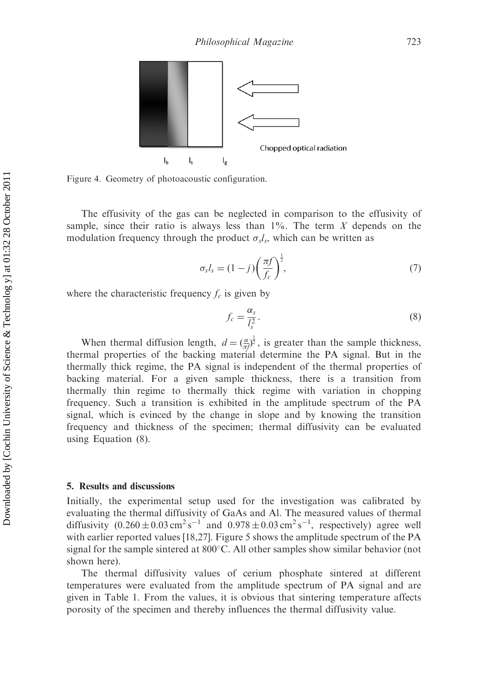

Figure 4. Geometry of photoacoustic configuration.

The effusivity of the gas can be neglected in comparison to the effusivity of sample, since their ratio is always less than  $1\%$ . The term X depends on the modulation frequency through the product  $\sigma_s l_s$ , which can be written as

$$
\sigma_s l_s = (1-j) \left(\frac{\pi f}{f_c}\right)^{\frac{1}{2}},\tag{7}
$$

where the characteristic frequency  $f_c$  is given by

$$
f_c = \frac{\alpha_s}{l_s^2}.\tag{8}
$$

When thermal diffusion length,  $d = \left(\frac{\alpha}{\pi l}\right)^{\frac{1}{2}}$ , is greater than the sample thickness, thermal properties of the backing material determine the PA signal. But in the thermally thick regime, the PA signal is independent of the thermal properties of backing material. For a given sample thickness, there is a transition from thermally thin regime to thermally thick regime with variation in chopping frequency. Such a transition is exhibited in the amplitude spectrum of the PA signal, which is evinced by the change in slope and by knowing the transition frequency and thickness of the specimen; thermal diffusivity can be evaluated using Equation (8).

#### 5. Results and discussions

Initially, the experimental setup used for the investigation was calibrated by evaluating the thermal diffusivity of GaAs and Al. The measured values of thermal diffusivity  $(0.260 \pm 0.03 \text{ cm}^2 \text{ s}^{-1})$  and  $(0.978 \pm 0.03 \text{ cm}^2 \text{ s}^{-1})$ , respectively) agree well with earlier reported values [18,27]. Figure 5 shows the amplitude spectrum of the PA signal for the sample sintered at  $800^{\circ}$ C. All other samples show similar behavior (not shown here).

The thermal diffusivity values of cerium phosphate sintered at different temperatures were evaluated from the amplitude spectrum of PA signal and are given in Table 1. From the values, it is obvious that sintering temperature affects porosity of the specimen and thereby influences the thermal diffusivity value.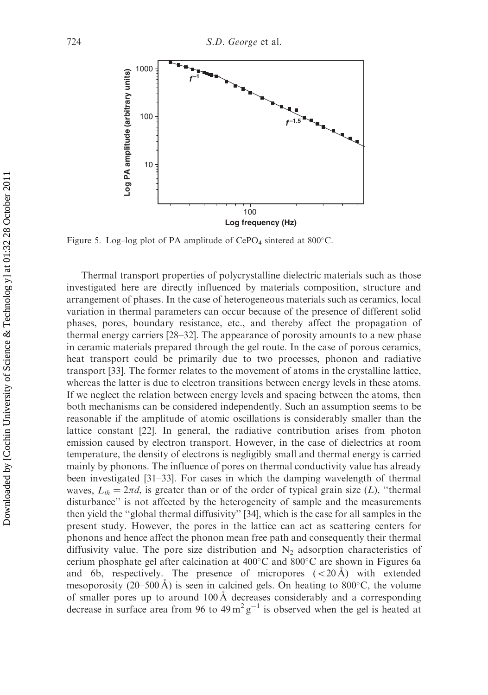

Figure 5. Log-log plot of PA amplitude of  $CePO<sub>4</sub>$  sintered at 800°C.

Thermal transport properties of polycrystalline dielectric materials such as those investigated here are directly influenced by materials composition, structure and arrangement of phases. In the case of heterogeneous materials such as ceramics, local variation in thermal parameters can occur because of the presence of different solid phases, pores, boundary resistance, etc., and thereby affect the propagation of thermal energy carriers [28–32]. The appearance of porosity amounts to a new phase in ceramic materials prepared through the gel route. In the case of porous ceramics, heat transport could be primarily due to two processes, phonon and radiative transport [33]. The former relates to the movement of atoms in the crystalline lattice, whereas the latter is due to electron transitions between energy levels in these atoms. If we neglect the relation between energy levels and spacing between the atoms, then both mechanisms can be considered independently. Such an assumption seems to be reasonable if the amplitude of atomic oscillations is considerably smaller than the lattice constant [22]. In general, the radiative contribution arises from photon emission caused by electron transport. However, in the case of dielectrics at room temperature, the density of electrons is negligibly small and thermal energy is carried mainly by phonons. The influence of pores on thermal conductivity value has already been investigated [31–33]. For cases in which the damping wavelength of thermal waves,  $L_{th} = 2\pi d$ , is greater than or of the order of typical grain size (L), "thermal disturbance'' is not affected by the heterogeneity of sample and the measurements then yield the ''global thermal diffusivity'' [34], which is the case for all samples in the present study. However, the pores in the lattice can act as scattering centers for phonons and hence affect the phonon mean free path and consequently their thermal diffusivity value. The pore size distribution and  $N_2$  adsorption characteristics of cerium phosphate gel after calcination at  $400^{\circ}$ C and  $800^{\circ}$ C are shown in Figures 6a and 6b, respectively. The presence of micropores  $( $20 \text{ Å}$ )$  with extended mesoporosity (20–500 Å) is seen in calcined gels. On heating to 800 $^{\circ}$ C, the volume of smaller pores up to around 100 Å decreases considerably and a corresponding decrease in surface area from 96 to  $49 \text{ m}^2 \text{ g}^{-1}$  is observed when the gel is heated at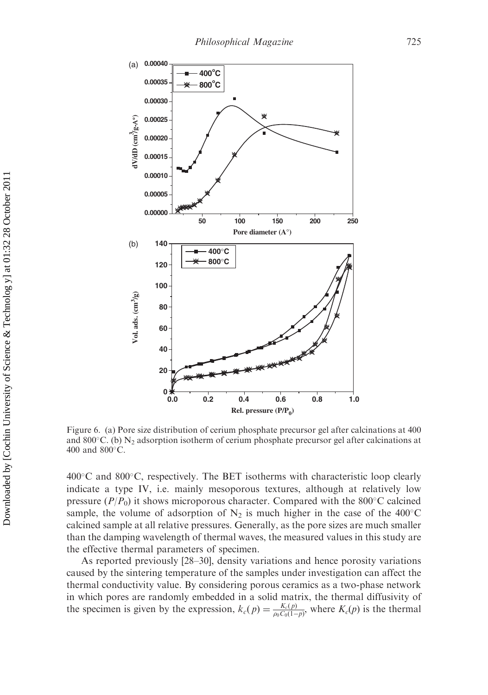

Figure 6. (a) Pore size distribution of cerium phosphate precursor gel after calcinations at 400 and 800 $^{\circ}$ C. (b) N<sub>2</sub> adsorption isotherm of cerium phosphate precursor gel after calcinations at 400 and  $800^{\circ}$ C.

 $400^{\circ}$ C and  $800^{\circ}$ C, respectively. The BET isotherms with characteristic loop clearly indicate a type IV, i.e. mainly mesoporous textures, although at relatively low pressure  $(P/P_0)$  it shows microporous character. Compared with the 800°C calcined sample, the volume of adsorption of  $N_2$  is much higher in the case of the 400°C calcined sample at all relative pressures. Generally, as the pore sizes are much smaller than the damping wavelength of thermal waves, the measured values in this study are the effective thermal parameters of specimen.

As reported previously [28–30], density variations and hence porosity variations caused by the sintering temperature of the samples under investigation can affect the thermal conductivity value. By considering porous ceramics as a two-phase network in which pores are randomly embedded in a solid matrix, the thermal diffusivity of the specimen is given by the expression,  $k_c(p) = \frac{K_c(p)}{\rho_0 C_0(1-p)}$ , where  $K_c(p)$  is the thermal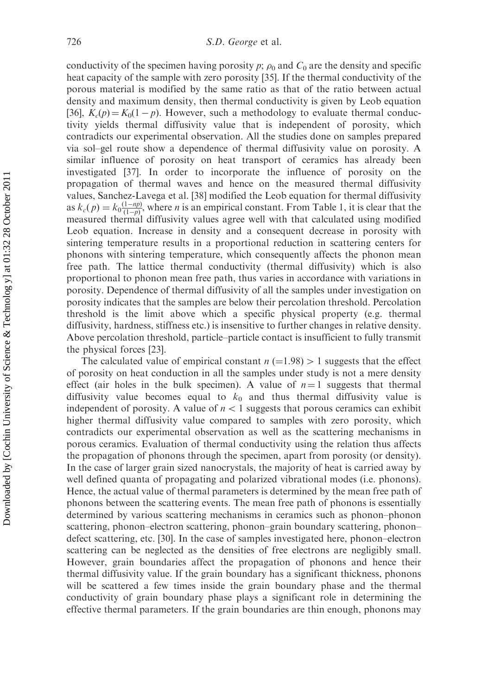conductivity of the specimen having porosity p;  $\rho_0$  and  $C_0$  are the density and specific heat capacity of the sample with zero porosity [35]. If the thermal conductivity of the porous material is modified by the same ratio as that of the ratio between actual density and maximum density, then thermal conductivity is given by Leob equation [36],  $K_c(p) = K_0(1 - p)$ . However, such a methodology to evaluate thermal conductivity yields thermal diffusivity value that is independent of porosity, which contradicts our experimental observation. All the studies done on samples prepared via sol–gel route show a dependence of thermal diffusivity value on porosity. A similar influence of porosity on heat transport of ceramics has already been investigated [37]. In order to incorporate the influence of porosity on the propagation of thermal waves and hence on the measured thermal diffusivity values, Sanchez-Lavega et al. [38] modified the Leob equation for thermal diffusivity as  $k_c(p) = k_0 \frac{(1 - np)}{(1 - p)}$ , where *n* is an empirical constant. From Table 1, it is clear that the measured thermal diffusivity values agree well with that calculated using modified Leob equation. Increase in density and a consequent decrease in porosity with sintering temperature results in a proportional reduction in scattering centers for phonons with sintering temperature, which consequently affects the phonon mean free path. The lattice thermal conductivity (thermal diffusivity) which is also proportional to phonon mean free path, thus varies in accordance with variations in porosity. Dependence of thermal diffusivity of all the samples under investigation on porosity indicates that the samples are below their percolation threshold. Percolation threshold is the limit above which a specific physical property (e.g. thermal diffusivity, hardness, stiffness etc.) is insensitive to further changes in relative density. Above percolation threshold, particle–particle contact is insufficient to fully transmit the physical forces [23].

The calculated value of empirical constant  $n (=1.98) > 1$  suggests that the effect of porosity on heat conduction in all the samples under study is not a mere density effect (air holes in the bulk specimen). A value of  $n = 1$  suggests that thermal diffusivity value becomes equal to  $k_0$  and thus thermal diffusivity value is independent of porosity. A value of  $n<1$  suggests that porous ceramics can exhibit higher thermal diffusivity value compared to samples with zero porosity, which contradicts our experimental observation as well as the scattering mechanisms in porous ceramics. Evaluation of thermal conductivity using the relation thus affects the propagation of phonons through the specimen, apart from porosity (or density). In the case of larger grain sized nanocrystals, the majority of heat is carried away by well defined quanta of propagating and polarized vibrational modes (i.e. phonons). Hence, the actual value of thermal parameters is determined by the mean free path of phonons between the scattering events. The mean free path of phonons is essentially determined by various scattering mechanisms in ceramics such as phonon–phonon scattering, phonon–electron scattering, phonon–grain boundary scattering, phonon– defect scattering, etc. [30]. In the case of samples investigated here, phonon–electron scattering can be neglected as the densities of free electrons are negligibly small. However, grain boundaries affect the propagation of phonons and hence their thermal diffusivity value. If the grain boundary has a significant thickness, phonons will be scattered a few times inside the grain boundary phase and the thermal conductivity of grain boundary phase plays a significant role in determining the effective thermal parameters. If the grain boundaries are thin enough, phonons may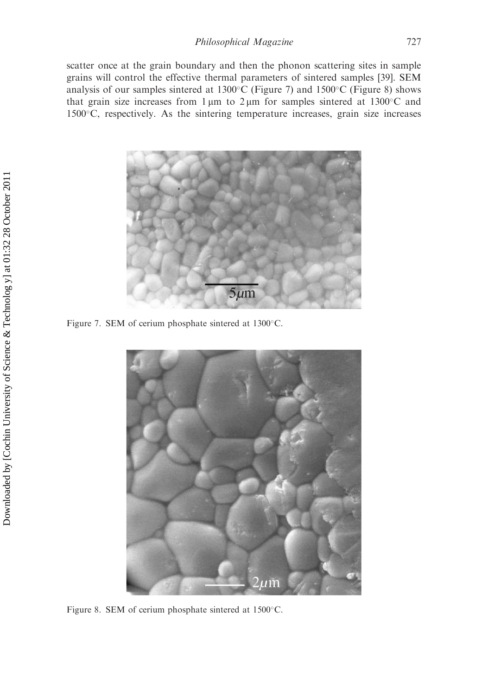scatter once at the grain boundary and then the phonon scattering sites in sample grains will control the effective thermal parameters of sintered samples [39]. SEM analysis of our samples sintered at  $1300^{\circ}$ C (Figure 7) and  $1500^{\circ}$ C (Figure 8) shows that grain size increases from  $1 \mu m$  to  $2 \mu m$  for samples sintered at 1300°C and 1500C, respectively. As the sintering temperature increases, grain size increases



Figure 7. SEM of cerium phosphate sintered at 1300°C.



Figure 8. SEM of cerium phosphate sintered at  $1500^{\circ}$ C.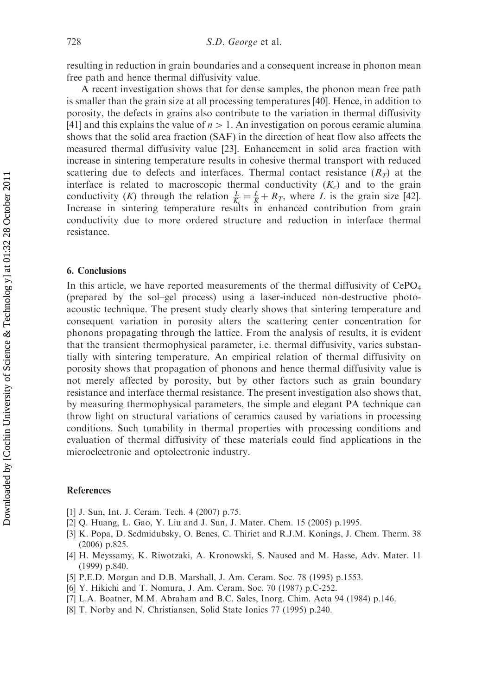resulting in reduction in grain boundaries and a consequent increase in phonon mean free path and hence thermal diffusivity value.

A recent investigation shows that for dense samples, the phonon mean free path is smaller than the grain size at all processing temperatures [40]. Hence, in addition to porosity, the defects in grains also contribute to the variation in thermal diffusivity [41] and this explains the value of  $n>1$ . An investigation on porous ceramic alumina shows that the solid area fraction (SAF) in the direction of heat flow also affects the measured thermal diffusivity value [23]. Enhancement in solid area fraction with increase in sintering temperature results in cohesive thermal transport with reduced scattering due to defects and interfaces. Thermal contact resistance  $(R_T)$  at the interface is related to macroscopic thermal conductivity  $(K_c)$  and to the grain conductivity (K) through the relation  $\frac{L}{K_c} = \frac{L}{K} + R_T$ , where L is the grain size [42]. Increase in sintering temperature results in enhanced contribution from grain conductivity due to more ordered structure and reduction in interface thermal resistance.

#### 6. Conclusions

In this article, we have reported measurements of the thermal diffusivity of  $CePO<sub>4</sub>$ (prepared by the sol–gel process) using a laser-induced non-destructive photoacoustic technique. The present study clearly shows that sintering temperature and consequent variation in porosity alters the scattering center concentration for phonons propagating through the lattice. From the analysis of results, it is evident that the transient thermophysical parameter, i.e. thermal diffusivity, varies substantially with sintering temperature. An empirical relation of thermal diffusivity on porosity shows that propagation of phonons and hence thermal diffusivity value is not merely affected by porosity, but by other factors such as grain boundary resistance and interface thermal resistance. The present investigation also shows that, by measuring thermophysical parameters, the simple and elegant PA technique can throw light on structural variations of ceramics caused by variations in processing conditions. Such tunability in thermal properties with processing conditions and evaluation of thermal diffusivity of these materials could find applications in the microelectronic and optolectronic industry.

#### References

- [1] J. Sun, Int. J. Ceram. Tech. 4 (2007) p.75.
- [2] Q. Huang, L. Gao, Y. Liu and J. Sun, J. Mater. Chem. 15 (2005) p.1995.
- [3] K. Popa, D. Sedmidubsky, O. Benes, C. Thiriet and R.J.M. Konings, J. Chem. Therm. 38 (2006) p.825.
- [4] H. Meyssamy, K. Riwotzaki, A. Kronowski, S. Naused and M. Hasse, Adv. Mater. 11 (1999) p.840.
- [5] P.E.D. Morgan and D.B. Marshall, J. Am. Ceram. Soc. 78 (1995) p.1553.
- [6] Y. Hikichi and T. Nomura, J. Am. Ceram. Soc. 70 (1987) p.C-252.
- [7] L.A. Boatner, M.M. Abraham and B.C. Sales, Inorg. Chim. Acta 94 (1984) p.146.
- [8] T. Norby and N. Christiansen, Solid State Ionics 77 (1995) p.240.